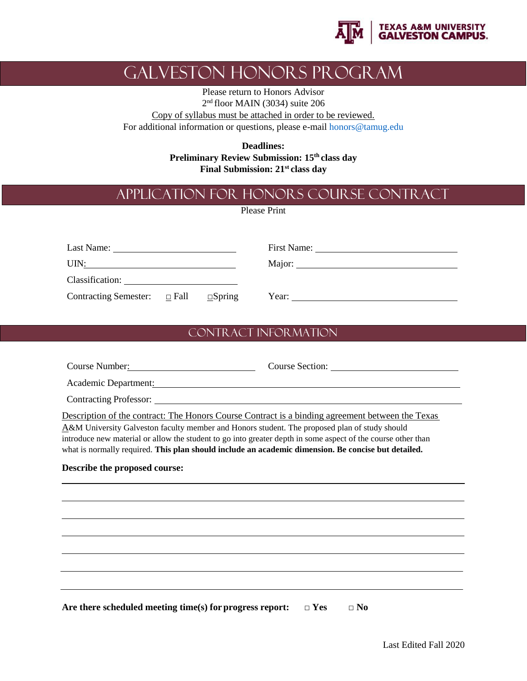

## Galveston Honors Program

Please return to Honors Advisor 2<sup>nd</sup> floor MAIN (3034) suite 206

Copy of syllabus must be attached in order to be reviewed. For additional information or questions, please e-mai[l honors@tamug.edu](mailto:honors@tamug.edu)

> **Deadlines: Preliminary Review Submission: 15th class day Final Submission: 21st class day**

## Application for Honors Course Contract

Please Print

| Last Name:                        |  |               | First Name:<br>the contract of the contract of the contract of the contract of the contract of |  |  |
|-----------------------------------|--|---------------|------------------------------------------------------------------------------------------------|--|--|
| UIN:                              |  |               |                                                                                                |  |  |
| Classification:                   |  |               |                                                                                                |  |  |
| Contracting Semester: $\Box$ Fall |  | $\Box$ Spring | Year:                                                                                          |  |  |

## Contract Information

| Course Number:                                                                                                                                                                                                                                                                                                                                                                                                           |                         |
|--------------------------------------------------------------------------------------------------------------------------------------------------------------------------------------------------------------------------------------------------------------------------------------------------------------------------------------------------------------------------------------------------------------------------|-------------------------|
| Academic Department:                                                                                                                                                                                                                                                                                                                                                                                                     |                         |
|                                                                                                                                                                                                                                                                                                                                                                                                                          |                         |
| Description of the contract: The Honors Course Contract is a binding agreement between the Texas<br>A&M University Galveston faculty member and Honors student. The proposed plan of study should<br>introduce new material or allow the student to go into greater depth in some aspect of the course other than<br>what is normally required. This plan should include an academic dimension. Be concise but detailed. |                         |
| Describe the proposed course:                                                                                                                                                                                                                                                                                                                                                                                            |                         |
|                                                                                                                                                                                                                                                                                                                                                                                                                          |                         |
|                                                                                                                                                                                                                                                                                                                                                                                                                          |                         |
|                                                                                                                                                                                                                                                                                                                                                                                                                          |                         |
|                                                                                                                                                                                                                                                                                                                                                                                                                          |                         |
|                                                                                                                                                                                                                                                                                                                                                                                                                          |                         |
|                                                                                                                                                                                                                                                                                                                                                                                                                          |                         |
| Are there scheduled meeting time(s) for progress report:                                                                                                                                                                                                                                                                                                                                                                 | $\Box$ Yes<br>$\Box$ No |